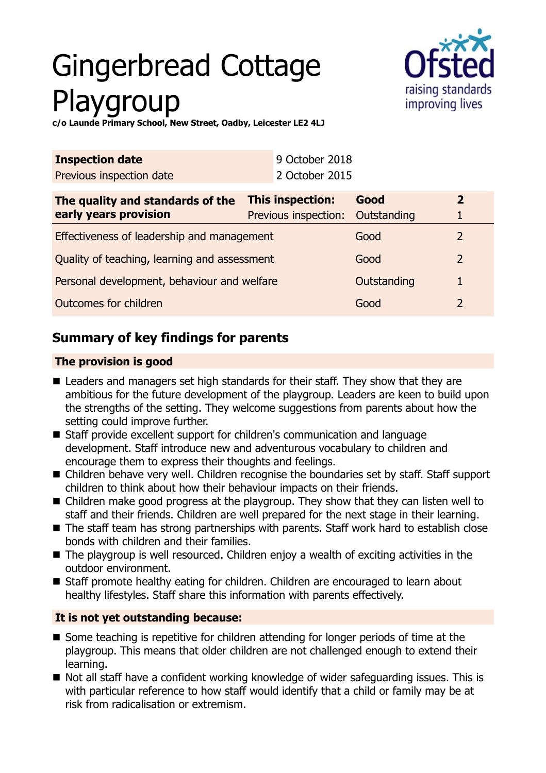# Gingerbread Cottage avaroup



**c/o Launde Primary School, New Street, Oadby, Leicester LE2 4LJ**

| <b>Inspection date</b>   | 9 October 2018 |
|--------------------------|----------------|
| Previous inspection date | 2 October 2015 |

| The quality and standards of the             | This inspection:                 | Good        | 2             |
|----------------------------------------------|----------------------------------|-------------|---------------|
| early years provision                        | Previous inspection: Outstanding |             |               |
| Effectiveness of leadership and management   |                                  | Good        |               |
| Quality of teaching, learning and assessment |                                  | Good        | $\mathcal{L}$ |
| Personal development, behaviour and welfare  |                                  | Outstanding | 1.            |
| Outcomes for children                        |                                  | Good        |               |

## **Summary of key findings for parents**

#### **The provision is good**

- $\blacksquare$  Leaders and managers set high standards for their staff. They show that they are ambitious for the future development of the playgroup. Leaders are keen to build upon the strengths of the setting. They welcome suggestions from parents about how the setting could improve further.
- Staff provide excellent support for children's communication and language development. Staff introduce new and adventurous vocabulary to children and encourage them to express their thoughts and feelings.
- Children behave very well. Children recognise the boundaries set by staff. Staff support children to think about how their behaviour impacts on their friends.
- $\blacksquare$  Children make good progress at the playgroup. They show that they can listen well to staff and their friends. Children are well prepared for the next stage in their learning.
- $\blacksquare$  The staff team has strong partnerships with parents. Staff work hard to establish close bonds with children and their families.
- $\blacksquare$  The playgroup is well resourced. Children enjoy a wealth of exciting activities in the outdoor environment.
- Staff promote healthy eating for children. Children are encouraged to learn about healthy lifestyles. Staff share this information with parents effectively.

#### **It is not yet outstanding because:**

- $\blacksquare$  Some teaching is repetitive for children attending for longer periods of time at the playgroup. This means that older children are not challenged enough to extend their learning.
- Not all staff have a confident working knowledge of wider safeguarding issues. This is with particular reference to how staff would identify that a child or family may be at risk from radicalisation or extremism.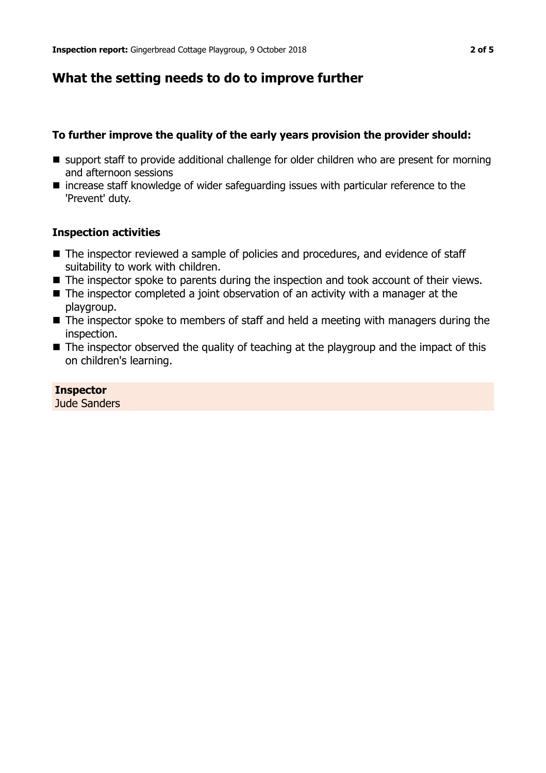## **What the setting needs to do to improve further**

#### **To further improve the quality of the early years provision the provider should:**

- support staff to provide additional challenge for older children who are present for morning and afternoon sessions
- increase staff knowledge of wider safeguarding issues with particular reference to the 'Prevent' duty.

#### **Inspection activities**

- The inspector reviewed a sample of policies and procedures, and evidence of staff suitability to work with children.
- The inspector spoke to parents during the inspection and took account of their views.
- $\blacksquare$  The inspector completed a joint observation of an activity with a manager at the playgroup.
- $\blacksquare$  The inspector spoke to members of staff and held a meeting with managers during the inspection.
- $\blacksquare$  The inspector observed the quality of teaching at the playgroup and the impact of this on children's learning.

#### **Inspector**

Jude Sanders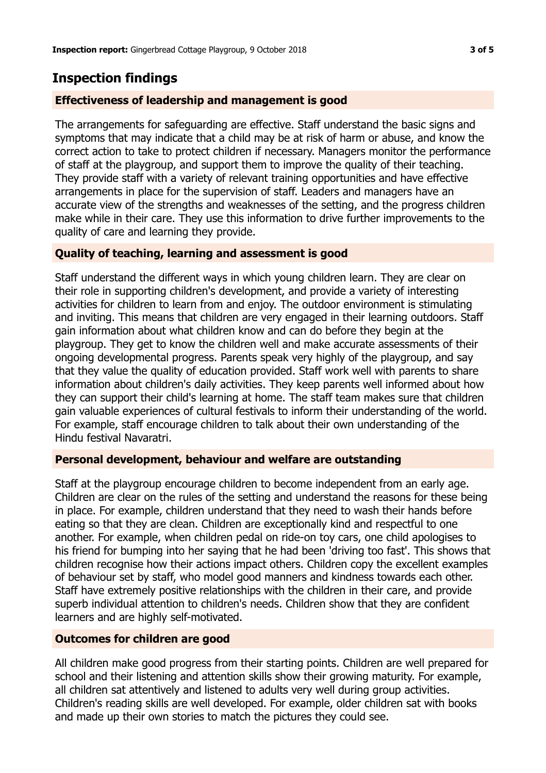## **Inspection findings**

#### **Effectiveness of leadership and management is good**

The arrangements for safeguarding are effective. Staff understand the basic signs and symptoms that may indicate that a child may be at risk of harm or abuse, and know the correct action to take to protect children if necessary. Managers monitor the performance of staff at the playgroup, and support them to improve the quality of their teaching. They provide staff with a variety of relevant training opportunities and have effective arrangements in place for the supervision of staff. Leaders and managers have an accurate view of the strengths and weaknesses of the setting, and the progress children make while in their care. They use this information to drive further improvements to the quality of care and learning they provide.

#### **Quality of teaching, learning and assessment is good**

Staff understand the different ways in which young children learn. They are clear on their role in supporting children's development, and provide a variety of interesting activities for children to learn from and enjoy. The outdoor environment is stimulating and inviting. This means that children are very engaged in their learning outdoors. Staff gain information about what children know and can do before they begin at the playgroup. They get to know the children well and make accurate assessments of their ongoing developmental progress. Parents speak very highly of the playgroup, and say that they value the quality of education provided. Staff work well with parents to share information about children's daily activities. They keep parents well informed about how they can support their child's learning at home. The staff team makes sure that children gain valuable experiences of cultural festivals to inform their understanding of the world. For example, staff encourage children to talk about their own understanding of the Hindu festival Navaratri.

#### **Personal development, behaviour and welfare are outstanding**

Staff at the playgroup encourage children to become independent from an early age. Children are clear on the rules of the setting and understand the reasons for these being in place. For example, children understand that they need to wash their hands before eating so that they are clean. Children are exceptionally kind and respectful to one another. For example, when children pedal on ride-on toy cars, one child apologises to his friend for bumping into her saying that he had been 'driving too fast'. This shows that children recognise how their actions impact others. Children copy the excellent examples of behaviour set by staff, who model good manners and kindness towards each other. Staff have extremely positive relationships with the children in their care, and provide superb individual attention to children's needs. Children show that they are confident learners and are highly self-motivated.

#### **Outcomes for children are good**

All children make good progress from their starting points. Children are well prepared for school and their listening and attention skills show their growing maturity. For example, all children sat attentively and listened to adults very well during group activities. Children's reading skills are well developed. For example, older children sat with books and made up their own stories to match the pictures they could see.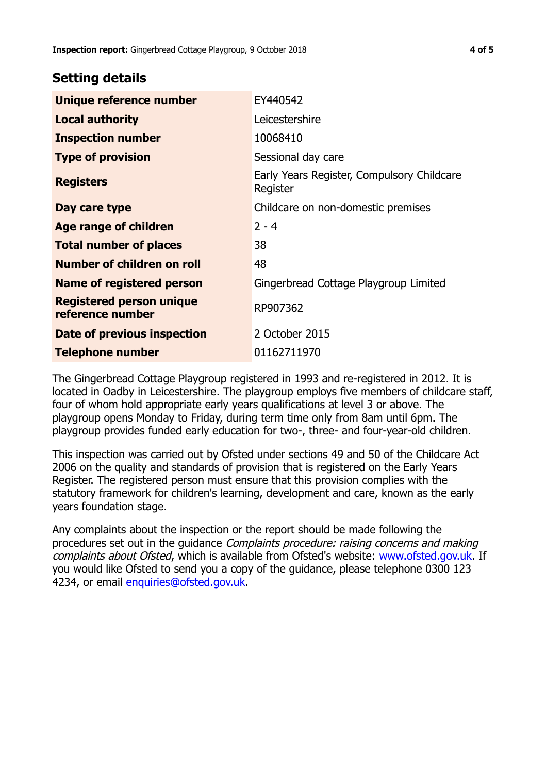### **Setting details**

| Unique reference number                             | EY440542                                               |
|-----------------------------------------------------|--------------------------------------------------------|
| <b>Local authority</b>                              | Leicestershire                                         |
| <b>Inspection number</b>                            | 10068410                                               |
| <b>Type of provision</b>                            | Sessional day care                                     |
| <b>Registers</b>                                    | Early Years Register, Compulsory Childcare<br>Register |
| Day care type                                       | Childcare on non-domestic premises                     |
| Age range of children                               | $2 - 4$                                                |
| <b>Total number of places</b>                       | 38                                                     |
| Number of children on roll                          | 48                                                     |
| Name of registered person                           | Gingerbread Cottage Playgroup Limited                  |
| <b>Registered person unique</b><br>reference number | RP907362                                               |
| Date of previous inspection                         | 2 October 2015                                         |
| <b>Telephone number</b>                             | 01162711970                                            |

The Gingerbread Cottage Playgroup registered in 1993 and re-registered in 2012. It is located in Oadby in Leicestershire. The playgroup employs five members of childcare staff, four of whom hold appropriate early years qualifications at level 3 or above. The playgroup opens Monday to Friday, during term time only from 8am until 6pm. The playgroup provides funded early education for two-, three- and four-year-old children.

This inspection was carried out by Ofsted under sections 49 and 50 of the Childcare Act 2006 on the quality and standards of provision that is registered on the Early Years Register. The registered person must ensure that this provision complies with the statutory framework for children's learning, development and care, known as the early years foundation stage.

Any complaints about the inspection or the report should be made following the procedures set out in the guidance Complaints procedure: raising concerns and making complaints about Ofsted, which is available from Ofsted's website: www.ofsted.gov.uk. If you would like Ofsted to send you a copy of the guidance, please telephone 0300 123 4234, or email [enquiries@ofsted.gov.uk.](mailto:enquiries@ofsted.gov.uk)